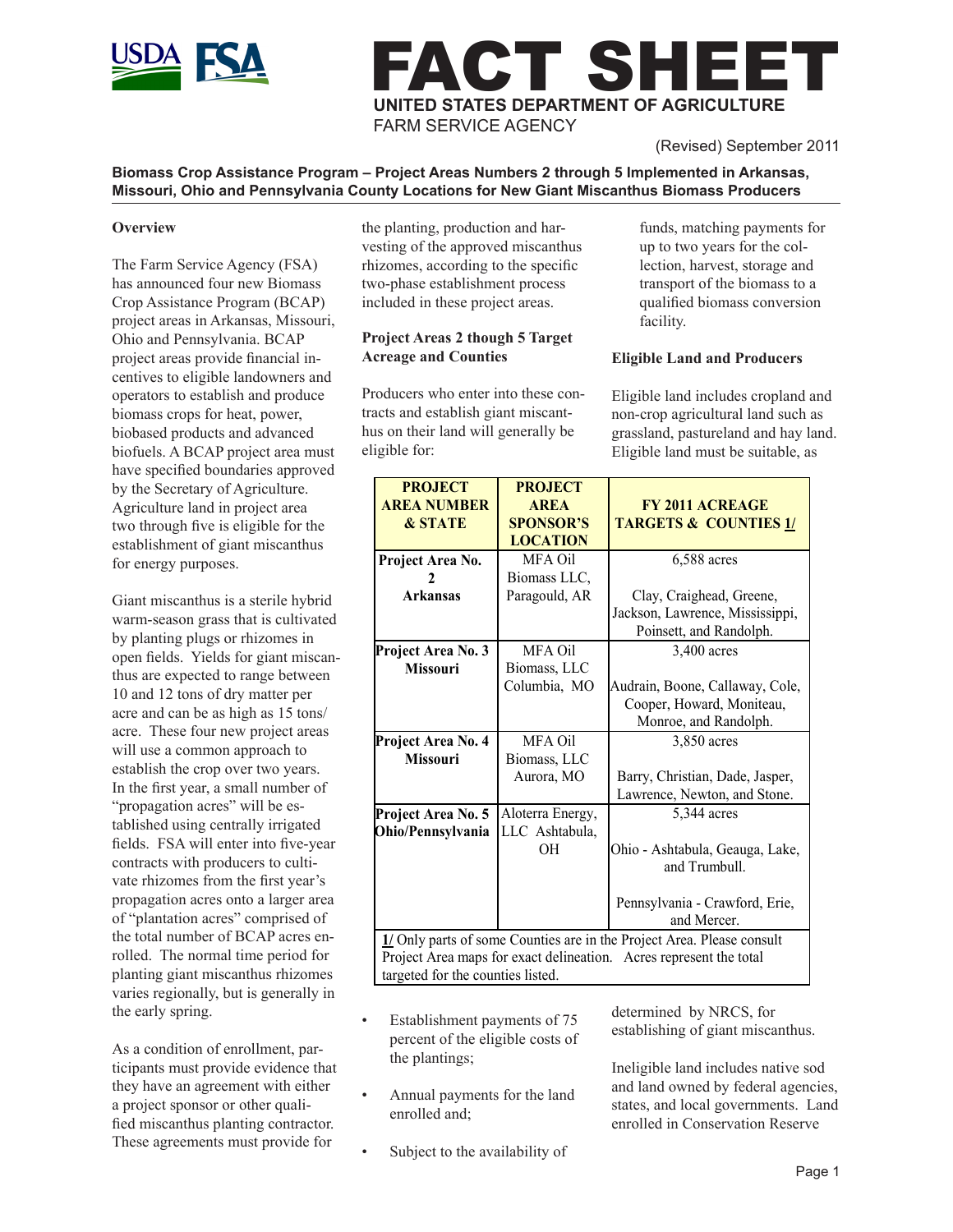

# ACT SHEET **UNITED STATES DEPARTMENT OF AGRICULTURE** FARM SERVICE AGENCY

(Revised) September 2011

#### **Biomass Crop Assistance Program – Project Areas Numbers 2 through 5 Implemented in Arkansas, Missouri, Ohio and Pennsylvania County Locations for New Giant Miscanthus Biomass Producers**

#### **Overview**

The Farm Service Agency (FSA) has announced four new Biomass Crop Assistance Program (BCAP) project areas in Arkansas, Missouri, Ohio and Pennsylvania. BCAP project areas provide financial incentives to eligible landowners and operators to establish and produce biomass crops for heat, power, biobased products and advanced biofuels. A BCAP project area must have specified boundaries approved by the Secretary of Agriculture. Agriculture land in project area two through five is eligible for the establishment of giant miscanthus for energy purposes.

Giant miscanthus is a sterile hybrid warm-season grass that is cultivated by planting plugs or rhizomes in open fields. Yields for giant miscanthus are expected to range between 10 and 12 tons of dry matter per acre and can be as high as 15 tons/ acre. These four new project areas will use a common approach to establish the crop over two years. In the first year, a small number of "propagation acres" will be established using centrally irrigated fields. FSA will enter into five-year contracts with producers to cultivate rhizomes from the first year's propagation acres onto a larger area of "plantation acres" comprised of the total number of BCAP acres enrolled. The normal time period for planting giant miscanthus rhizomes varies regionally, but is generally in the early spring.

As a condition of enrollment, participants must provide evidence that they have an agreement with either a project sponsor or other qualified miscanthus planting contractor. These agreements must provide for

the planting, production and harvesting of the approved miscanthus rhizomes, according to the specific two-phase establishment process included in these project areas.

# **Project Areas 2 though 5 Target Acreage and Counties**

Producers who enter into these contracts and establish giant miscanthus on their land will generally be eligible for:

funds, matching payments for up to two years for the collection, harvest, storage and transport of the biomass to a qualified biomass conversion facility.

### **Eligible Land and Producers**

Eligible land includes cropland and non-crop agricultural land such as grassland, pastureland and hay land. Eligible land must be suitable, as

| <b>PROJECT</b>                                                         | <b>PROJECT</b>                                                     |                                  |  |
|------------------------------------------------------------------------|--------------------------------------------------------------------|----------------------------------|--|
| <b>AREA NUMBER</b>                                                     | <b>AREA</b>                                                        | <b>FY 2011 ACREAGE</b>           |  |
| <b>&amp; STATE</b>                                                     | <b>SPONSOR'S</b>                                                   | <b>TARGETS &amp; COUNTIES 1/</b> |  |
|                                                                        | <b>LOCATION</b>                                                    |                                  |  |
| Project Area No.                                                       | MFA Oil                                                            | 6,588 acres                      |  |
|                                                                        | Biomass LLC,                                                       |                                  |  |
| <b>Arkansas</b>                                                        | Paragould, AR                                                      | Clay, Craighead, Greene,         |  |
|                                                                        |                                                                    | Jackson, Lawrence, Mississippi,  |  |
|                                                                        |                                                                    | Poinsett, and Randolph.          |  |
| Project Area No. 3                                                     | MFA Oil                                                            | 3,400 acres                      |  |
| <b>Missouri</b>                                                        | Biomass, LLC                                                       |                                  |  |
|                                                                        | Columbia, MO                                                       | Audrain, Boone, Callaway, Cole,  |  |
|                                                                        |                                                                    | Cooper, Howard, Moniteau,        |  |
|                                                                        |                                                                    | Monroe, and Randolph.            |  |
| Project Area No. 4                                                     | MFA Oil                                                            | 3,850 acres                      |  |
| <b>Missouri</b>                                                        | Biomass, LLC                                                       |                                  |  |
|                                                                        | Aurora, MO                                                         | Barry, Christian, Dade, Jasper,  |  |
|                                                                        |                                                                    | Lawrence, Newton, and Stone.     |  |
| Project Area No. 5                                                     | Aloterra Energy,                                                   | 5,344 acres                      |  |
| Ohio/Pennsylvania                                                      | LLC Ashtabula,                                                     |                                  |  |
|                                                                        | OН                                                                 | Ohio - Ashtabula, Geauga, Lake,  |  |
|                                                                        |                                                                    | and Trumbull.                    |  |
|                                                                        |                                                                    |                                  |  |
|                                                                        |                                                                    | Pennsylvania - Crawford, Erie,   |  |
|                                                                        |                                                                    | and Mercer.                      |  |
| 1/ Only parts of some Counties are in the Project Area. Please consult |                                                                    |                                  |  |
|                                                                        | Project Area maps for exact delineation. Acres represent the total |                                  |  |

targeted for the counties listed.

- Establishment payments of 75 percent of the eligible costs of the plantings;
- Annual payments for the land enrolled and;
- Subject to the availability of

determined by NRCS, for establishing of giant miscanthus.

Ineligible land includes native sod and land owned by federal agencies, states, and local governments. Land enrolled in Conservation Reserve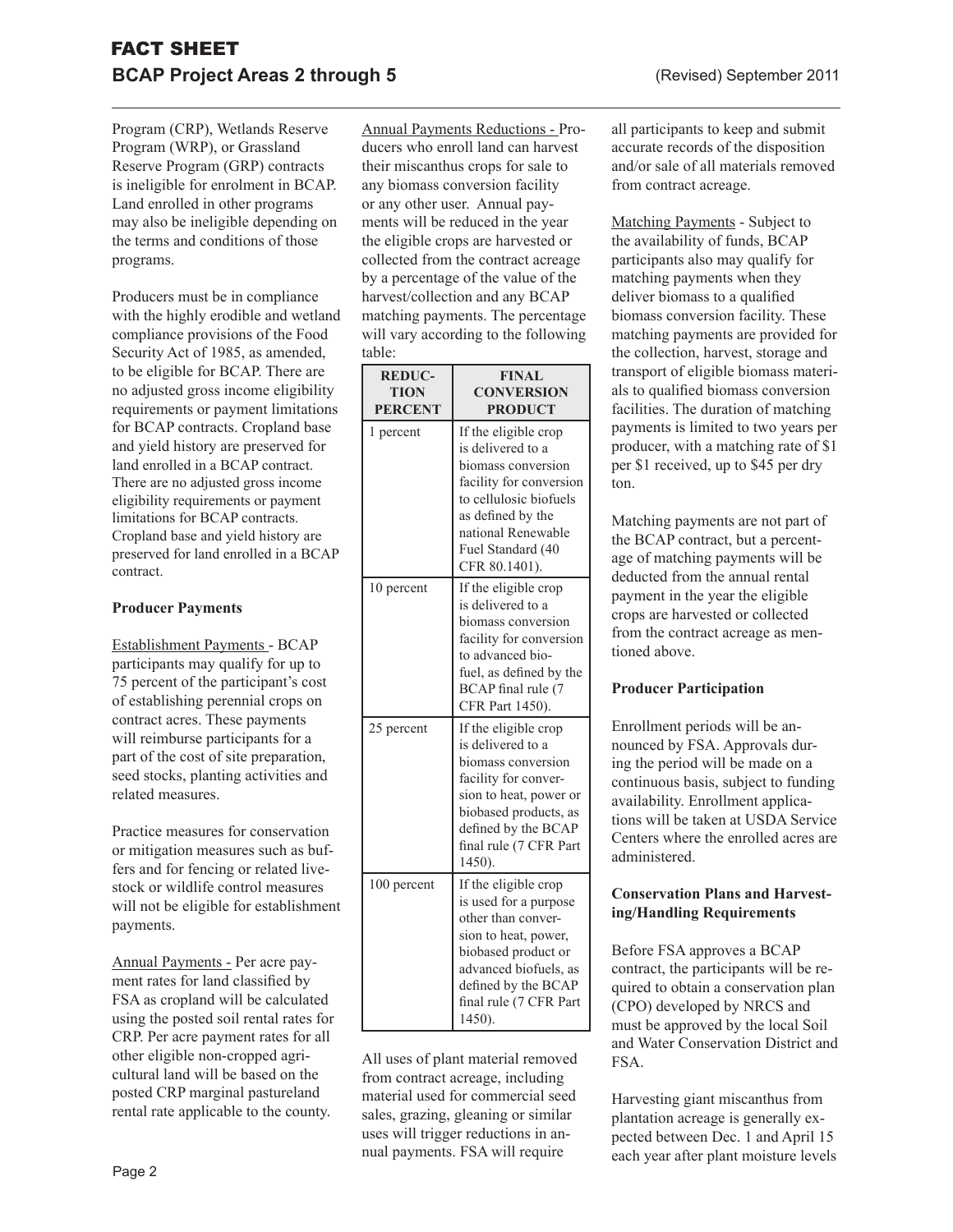Program (CRP), Wetlands Reserve Program (WRP), or Grassland Reserve Program (GRP) contracts is ineligible for enrolment in BCAP. Land enrolled in other programs may also be ineligible depending on the terms and conditions of those programs.

Producers must be in compliance with the highly erodible and wetland compliance provisions of the Food Security Act of 1985, as amended, to be eligible for BCAP. There are no adjusted gross income eligibility requirements or payment limitations for BCAP contracts. Cropland base and yield history are preserved for land enrolled in a BCAP contract. There are no adjusted gross income eligibility requirements or payment limitations for BCAP contracts. Cropland base and yield history are preserved for land enrolled in a BCAP contract.

### **Producer Payments**

Establishment Payments - BCAP participants may qualify for up to 75 percent of the participant's cost of establishing perennial crops on contract acres. These payments will reimburse participants for a part of the cost of site preparation, seed stocks, planting activities and related measures.

Practice measures for conservation or mitigation measures such as buffers and for fencing or related livestock or wildlife control measures will not be eligible for establishment payments.

Annual Payments - Per acre payment rates for land classified by FSA as cropland will be calculated using the posted soil rental rates for CRP. Per acre payment rates for all other eligible non-cropped agricultural land will be based on the posted CRP marginal pastureland rental rate applicable to the county.

Annual Payments Reductions - Producers who enroll land can harvest their miscanthus crops for sale to any biomass conversion facility or any other user. Annual payments will be reduced in the year the eligible crops are harvested or collected from the contract acreage by a percentage of the value of the harvest/collection and any BCAP matching payments. The percentage will vary according to the following table:

| <b>REDUC-</b><br><b>TION</b><br><b>PERCENT</b> | <b>FINAL</b><br><b>CONVERSION</b><br><b>PRODUCT</b>                                                                                                                                                       |
|------------------------------------------------|-----------------------------------------------------------------------------------------------------------------------------------------------------------------------------------------------------------|
| 1 percent                                      | If the eligible crop<br>is delivered to a<br>biomass conversion<br>facility for conversion<br>to cellulosic biofuels<br>as defined by the<br>national Renewable<br>Fuel Standard (40<br>CFR 80.1401).     |
| 10 percent                                     | If the eligible crop<br>is delivered to a<br>biomass conversion<br>facility for conversion<br>to advanced bio-<br>fuel, as defined by the<br>BCAP final rule (7<br>CFR Part 1450).                        |
| 25 percent                                     | If the eligible crop<br>is delivered to a<br>biomass conversion<br>facility for conver-<br>sion to heat, power or<br>biobased products, as<br>defined by the BCAP<br>final rule (7 CFR Part<br>1450).     |
| 100 percent                                    | If the eligible crop<br>is used for a purpose<br>other than conver-<br>sion to heat, power,<br>biobased product or<br>advanced biofuels, as<br>defined by the BCAP<br>final rule (7 CFR Part<br>$1450$ ). |

All uses of plant material removed from contract acreage, including material used for commercial seed sales, grazing, gleaning or similar uses will trigger reductions in annual payments. FSA will require

all participants to keep and submit accurate records of the disposition and/or sale of all materials removed from contract acreage.

Matching Payments - Subject to the availability of funds, BCAP participants also may qualify for matching payments when they deliver biomass to a qualified biomass conversion facility. These matching payments are provided for the collection, harvest, storage and transport of eligible biomass materials to qualified biomass conversion facilities. The duration of matching payments is limited to two years per producer, with a matching rate of \$1 per \$1 received, up to \$45 per dry ton.

Matching payments are not part of the BCAP contract, but a percentage of matching payments will be deducted from the annual rental payment in the year the eligible crops are harvested or collected from the contract acreage as mentioned above.

#### **Producer Participation**

Enrollment periods will be announced by FSA. Approvals during the period will be made on a continuous basis, subject to funding availability. Enrollment applications will be taken at USDA Service Centers where the enrolled acres are administered.

# **Conservation Plans and Harvesting/Handling Requirements**

Before FSA approves a BCAP contract, the participants will be required to obtain a conservation plan (CPO) developed by NRCS and must be approved by the local Soil and Water Conservation District and FSA.

Harvesting giant miscanthus from plantation acreage is generally expected between Dec. 1 and April 15 each year after plant moisture levels